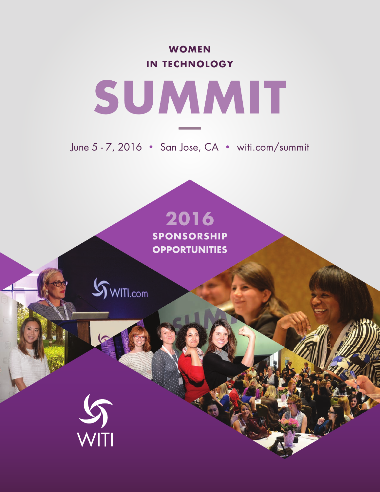**WOMEN IN TECHNOLOGY**



June 5 - 7, 2016 • San Jose, CA • witi.com/summit

# **2016**

**SPONSORSHIP OPPORTUNITIES**

 $\mathcal{S}_{\text{WITL.com}}$ 

WITI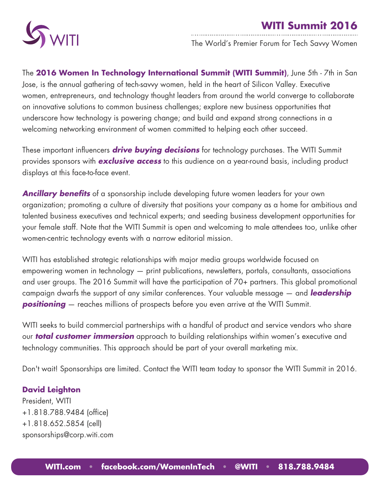



The World's Premier Forum for Tech Savvy Women

The **2016 Women In Technology International Summit (WITI Summit)**, June 5th - 7th in San Jose, is the annual gathering of tech-savvy women, held in the heart of Silicon Valley. Executive women, entrepreneurs, and technology thought leaders from around the world converge to collaborate on innovative solutions to common business challenges; explore new business opportunities that underscore how technology is powering change; and build and expand strong connections in a welcoming networking environment of women committed to helping each other succeed.

These important influencers *drive buying decisions* for technology purchases. The WITI Summit provides sponsors with *exclusive access* to this audience on a year-round basis, including product displays at this face-to-face event.

*Ancillary benefits* of a sponsorship include developing future women leaders for your own organization; promoting a culture of diversity that positions your company as a home for ambitious and talented business executives and technical experts; and seeding business development opportunities for your female staff. Note that the WITI Summit is open and welcoming to male attendees too, unlike other women-centric technology events with a narrow editorial mission.

WITI has established strategic relationships with major media groups worldwide focused on empowering women in technology — print publications, newsletters, portals, consultants, associations and user groups. The 2016 Summit will have the participation of 70+ partners. This global promotional campaign dwarfs the support of any similar conferences. Your valuable message — and *leadership*  **positioning** — reaches millions of prospects before you even arrive at the WITI Summit.

WITI seeks to build commercial partnerships with a handful of product and service vendors who share our *total customer immersion* approach to building relationships within women's executive and technology communities. This approach should be part of your overall marketing mix.

Don't wait! Sponsorships are limited. Contact the WITI team today to sponsor the WITI Summit in 2016.

#### **David Leighton**

President, WITI +1.818.788.9484 (office) +1.818.652.5854 (cell) sponsorships@corp.witi.com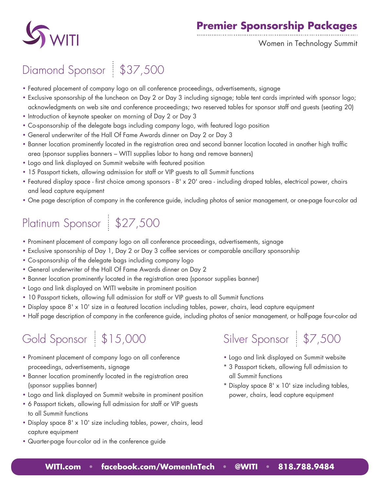



Women in Technology Summit

## Diamond Sponsor \$37,500

- Featured placement of company logo on all conference proceedings, advertisements, signage
- Exclusive sponsorship of the luncheon on Day 2 or Day 3 including signage; table tent cards imprinted with sponsor logo; acknowledgments on web site and conference proceedings; two reserved tables for sponsor staff and guests (seating 20)
- Introduction of keynote speaker on morning of Day 2 or Day 3
- Co-sponsorship of the delegate bags including company logo, with featured logo position
- General underwriter of the Hall Of Fame Awards dinner on Day 2 or Day 3
- Banner location prominently located in the registration area and second banner location located in another high traffic area (sponsor supplies banners – WITI supplies labor to hang and remove banners)
- Logo and link displayed on Summit website with featured position
- 15 Passport tickets, allowing admission for staff or VIP guests to all Summit functions
- Featured display space first choice among sponsors 8' x 20' area including draped tables, electrical power, chairs and lead capture equipment
- One page description of company in the conference guide, including photos of senior management, or one-page four-color ad

## Platinum Sponsor \$27,500

- Prominent placement of company logo on all conference proceedings, advertisements, signage
- Exclusive sponsorship of Day 1, Day 2 or Day 3 coffee services or comparable ancillary sponsorship
- Co-sponsorship of the delegate bags including company logo
- General underwriter of the Hall Of Fame Awards dinner on Day 2
- Banner location prominently located in the registration area (sponsor supplies banner)
- Logo and link displayed on WITI website in prominent position
- 10 Passport tickets, allowing full admission for staff or VIP guests to all Summit functions
- Display space 8' x 10' size in a featured location including tables, power, chairs, lead capture equipment
- Half page description of company in the conference guide, including photos of senior management, or half-page four-color ad

## Gold Sponsor | \$15,000

- Prominent placement of company logo on all conference proceedings, advertisements, signage
- Banner location prominently located in the registration area (sponsor supplies banner)
- Logo and link displayed on Summit website in prominent position
- 6 Passport tickets, allowing full admission for staff or VIP guests to all Summit functions
- Display space 8' x 10' size including tables, power, chairs, lead capture equipment
- Quarter-page four-color ad in the conference guide

## Silver Sponsor \$7,500

- Logo and link displayed on Summit website
- \* 3 Passport tickets, allowing full admission to all Summit functions
- \* Display space 8' x 10' size including tables, power, chairs, lead capture equipment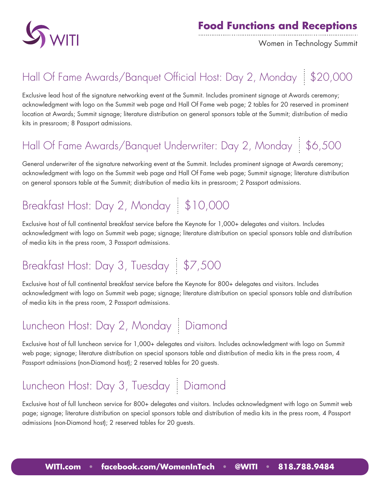

Women in Technology Summit

## Hall Of Fame Awards/Banquet Official Host: Day 2, Monday \$20,000

Exclusive lead host of the signature networking event at the Summit. Includes prominent signage at Awards ceremony; acknowledgment with logo on the Summit web page and Hall Of Fame web page; 2 tables for 20 reserved in prominent location at Awards; Summit signage; literature distribution on general sponsors table at the Summit; distribution of media kits in pressroom; 8 Passport admissions.

## Hall Of Fame Awards/Banquet Underwriter: Day 2, Monday | \$6,500

General underwriter of the signature networking event at the Summit. Includes prominent signage at Awards ceremony; acknowledgment with logo on the Summit web page and Hall Of Fame web page; Summit signage; literature distribution on general sponsors table at the Summit; distribution of media kits in pressroom; 2 Passport admissions.

## Breakfast Host: Day 2, Monday | \$10,000

Exclusive host of full continental breakfast service before the Keynote for 1,000+ delegates and visitors. Includes acknowledgment with logo on Summit web page; signage; literature distribution on special sponsors table and distribution of media kits in the press room, 3 Passport admissions.

## Breakfast Host: Day 3, Tuesday \$7,500

Exclusive host of full continental breakfast service before the Keynote for 800+ delegates and visitors. Includes acknowledgment with logo on Summit web page; signage; literature distribution on special sponsors table and distribution of media kits in the press room, 2 Passport admissions.

## Luncheon Host: Day 2, Monday | Diamond

Exclusive host of full luncheon service for 1,000+ delegates and visitors. Includes acknowledgment with logo on Summit web page; signage; literature distribution on special sponsors table and distribution of media kits in the press room, 4 Passport admissions (non-Diamond host); 2 reserved tables for 20 guests.

## Luncheon Host: Day 3, Tuesday | Diamond

Exclusive host of full luncheon service for 800+ delegates and visitors. Includes acknowledgment with logo on Summit web page; signage; literature distribution on special sponsors table and distribution of media kits in the press room, 4 Passport admissions (non-Diamond host); 2 reserved tables for 20 guests.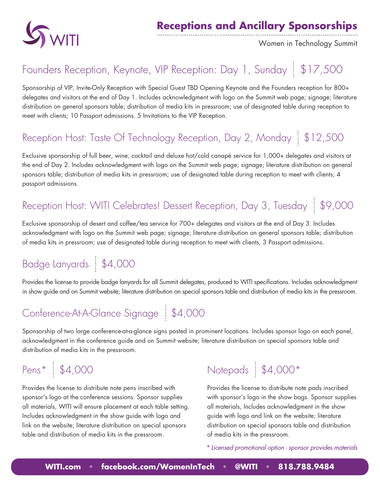

#### **Receptions and Ancillary Sponsorships**

Women in Technology Summit

#### Founders Reception, Keynote, VIP Reception: Day 1, Sunday | \$17,500

Sponsorship of VIP, Invite-Only Reception with Special Guest TBD Opening Keynote and the Founders reception for 800+ delegates and visitors at the end of Day 1. Includes acknowledgment with logo on the Summit web page; signage; literature distribution on general sponsors table; distribution of media kits in pressroom; use of designated table during reception to meet with clients; 10 Passport admissions. 5 Invitations to the VIP Reception.

#### Reception Host: Taste Of Technology Reception, Day 2, Monday | \$12,500

Exclusive sponsorship of full beer, wine, cocktail and deluxe hot/cold canapé service for 1,000+ delegates and visitors at the end of Day 2. Includes acknowledgment with logo on the Summit web page; signage; literature distribution on general sponsors table; distribution of media kits in pressroom; use of designated table during reception to meet with clients; 4 passport admissions.

## Reception Host: WITI Celebrates! Dessert Reception, Day 3, Tuesday | \$9,000

Exclusive sponsorship of desert and coffee/tea service for 700+ delegates and visitors at the end of Day 3. Includes acknowledgment with logo on the Summit web page; signage; literature distribution on general sponsors table; distribution of media kits in pressroom; use of designated table during reception to meet with clients, 3 Passport admissions.

## Badge Lanyards | \$4,000

Provides the license to provide badge lanyards for all Summit delegates, produced to WITI specifications. Includes acknowledgment in show guide and on Summit website; literature distribution on special sponsors table and distribution of media kits in the pressroom.

### Conference-At-A-Glance Signage \$4,000

Sponsorship of two large conference-at-a-glance signs posted in prominent locations. Includes sponsor logo on each panel, acknowledgment in the conference guide and on Summit website; literature distribution on special sponsors table and distribution of media kits in the pressroom.

Pens\*  $\frac{1}{3}$  \$4,000

Provides the license to distribute note pens inscribed with sponsor's logo at the conference sessions. Sponsor supplies all materials, WITI will ensure placement at each table setting. Includes acknowledgment in the show guide with logo and link on the website; literature distribution on special sponsors table and distribution of media kits in the pressroom.

## Notepads \$4,000\*

Provides the license to distribute note pads inscribed with sponsor's logo in the show bags. Sponsor supplies all materials, Includes acknowledgment in the show guide with logo and link on the website; literature distribution on special sponsors table and distribution of media kits in the pressroom.

*\* Licensed promotional option - sponsor provides materials*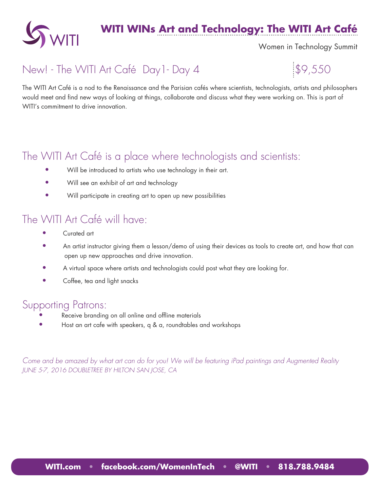

#### **WITI WINs Art and Technology: The WITI Art Café**

Women in Technology Summit

#### New! - The WITI Art Café Day 1 - Day 4  $\$  \$9,550

The WITI Art Café is a nod to the Renaissance and the Parisian cafés where scientists, technologists, artists and philosophers would meet and find new ways of looking at things, collaborate and discuss what they were working on. This is part of WITI's commitment to drive innovation.

#### The WITI Art Café is a place where technologists and scientists:

- Will be introduced to artists who use technology in their art.
- Will see an exhibit of art and technology
- Will participate in creating art to open up new possibilities

#### The WITI Art Café will have:

- Curated art
- An artist instructor giving them a lesson/demo of using their devices as tools to create art, and how that can open up new approaches and drive innovation.
- A virtual space where artists and technologists could post what they are looking for.
- Coffee, tea and light snacks

#### Supporting Patrons:

- Receive branding on all online and offline materials
- Host an art cafe with speakers, q & a, roundtables and workshops

*Come and be amazed by what art can do for you! We will be featuring iPad paintings and Augmented Reality JUNE 5-7, 2016 DOUBLETREE BY HILTON SAN JOSE, CA*